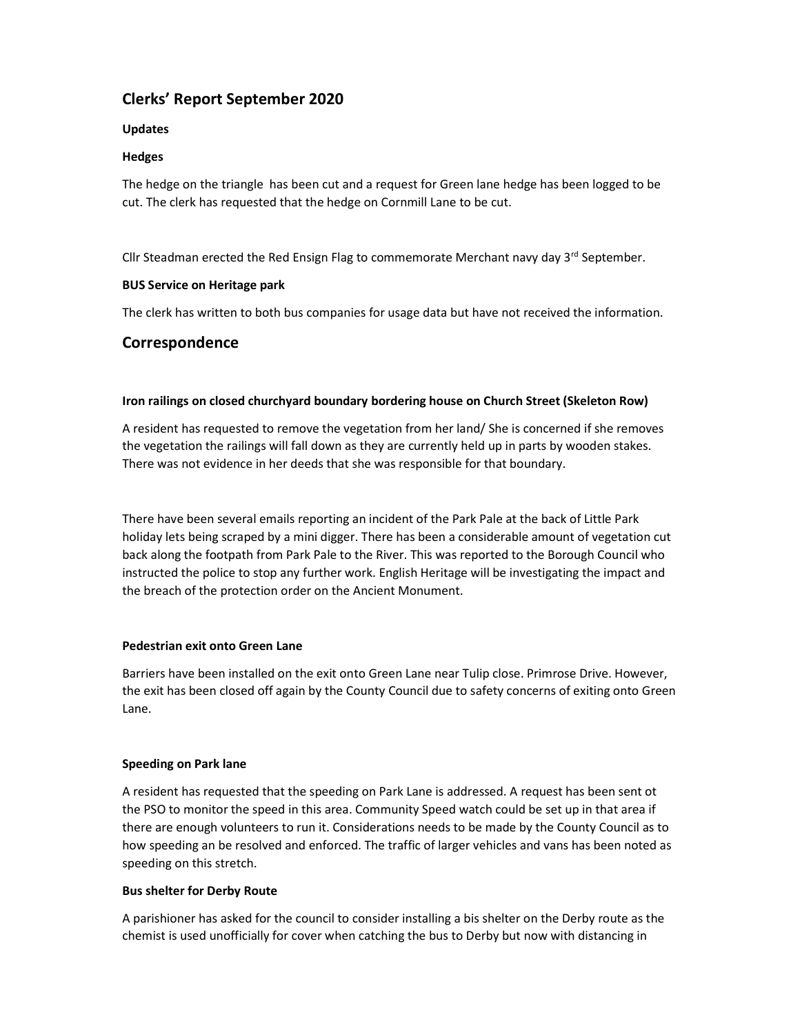# Clerks' Report September 2020

### Updates

### Hedges

The hedge on the triangle has been cut and a request for Green lane hedge has been logged to be cut. The clerk has requested that the hedge on Cornmill Lane to be cut.

Cllr Steadman erected the Red Ensign Flag to commemorate Merchant navy day  $3^{rd}$  September.

#### BUS Service on Heritage park

The clerk has written to both bus companies for usage data but have not received the information.

### Correspondence

#### Iron railings on closed churchyard boundary bordering house on Church Street (Skeleton Row)

A resident has requested to remove the vegetation from her land/ She is concerned if she removes the vegetation the railings will fall down as they are currently held up in parts by wooden stakes. There was not evidence in her deeds that she was responsible for that boundary.

There have been several emails reporting an incident of the Park Pale at the back of Little Park holiday lets being scraped by a mini digger. There has been a considerable amount of vegetation cut back along the footpath from Park Pale to the River. This was reported to the Borough Council who instructed the police to stop any further work. English Heritage will be investigating the impact and the breach of the protection order on the Ancient Monument.

#### Pedestrian exit onto Green Lane

Barriers have been installed on the exit onto Green Lane near Tulip close. Primrose Drive. However, the exit has been closed off again by the County Council due to safety concerns of exiting onto Green Lane.

#### Speeding on Park lane

A resident has requested that the speeding on Park Lane is addressed. A request has been sent ot the PSO to monitor the speed in this area. Community Speed watch could be set up in that area if there are enough volunteers to run it. Considerations needs to be made by the County Council as to how speeding an be resolved and enforced. The traffic of larger vehicles and vans has been noted as speeding on this stretch.

#### Bus shelter for Derby Route

A parishioner has asked for the council to consider installing a bis shelter on the Derby route as the chemist is used unofficially for cover when catching the bus to Derby but now with distancing in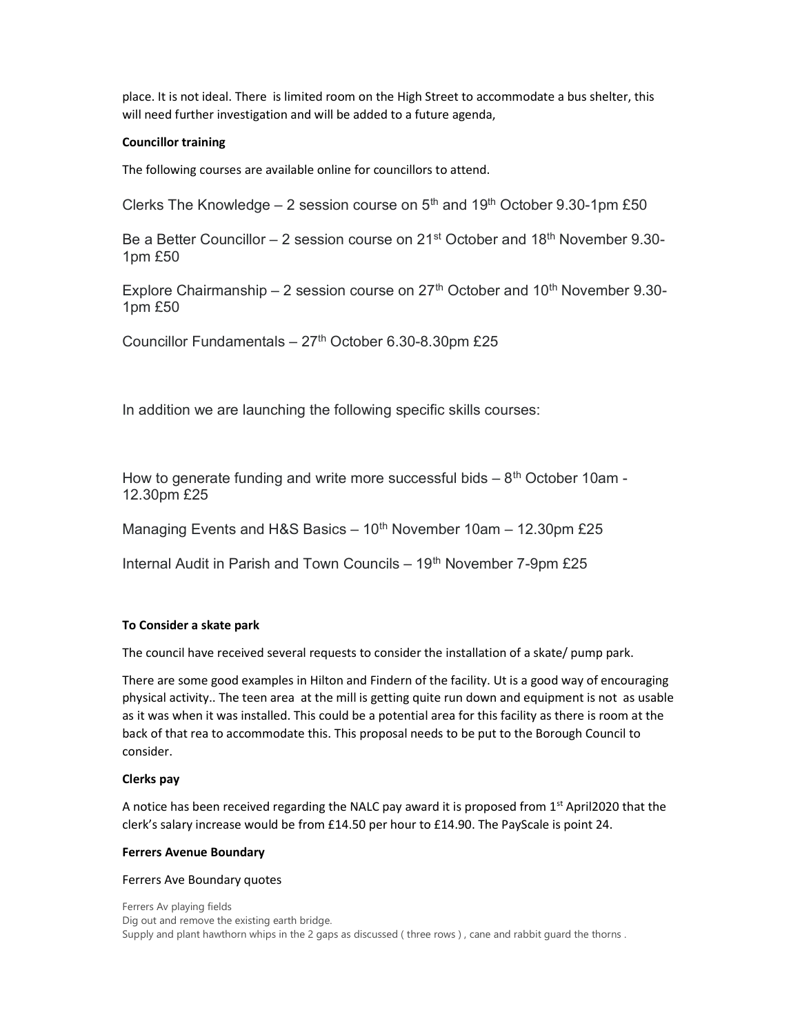place. It is not ideal. There is limited room on the High Street to accommodate a bus shelter, this will need further investigation and will be added to a future agenda,

#### Councillor training

The following courses are available online for councillors to attend.

Clerks The Knowledge  $-2$  session course on  $5<sup>th</sup>$  and  $19<sup>th</sup>$  October 9.30-1pm £50

Be a Better Councillor – 2 session course on 21<sup>st</sup> October and 18<sup>th</sup> November 9.30-1pm £50

Explore Chairmanship – 2 session course on  $27<sup>th</sup>$  October and  $10<sup>th</sup>$  November 9.30-1pm £50

Councillor Fundamentals  $-27$ <sup>th</sup> October 6.30-8.30pm £25

In addition we are launching the following specific skills courses:

How to generate funding and write more successful bids  $-8<sup>th</sup>$  October 10am -12.30pm £25

Managing Events and H&S Basics  $-10<sup>th</sup>$  November 10am  $-12.30$ pm £25

Internal Audit in Parish and Town Councils  $-19<sup>th</sup>$  November 7-9pm £25

#### To Consider a skate park

The council have received several requests to consider the installation of a skate/ pump park.

There are some good examples in Hilton and Findern of the facility. Ut is a good way of encouraging physical activity.. The teen area at the mill is getting quite run down and equipment is not as usable as it was when it was installed. This could be a potential area for this facility as there is room at the back of that rea to accommodate this. This proposal needs to be put to the Borough Council to consider.

#### Clerks pay

A notice has been received regarding the NALC pay award it is proposed from  $1<sup>st</sup>$  April2020 that the clerk's salary increase would be from £14.50 per hour to £14.90. The PayScale is point 24.

#### Ferrers Avenue Boundary

#### Ferrers Ave Boundary quotes

Ferrers Av playing fields Dig out and remove the existing earth bridge. Supply and plant hawthorn whips in the 2 gaps as discussed (three rows), cane and rabbit guard the thorns.